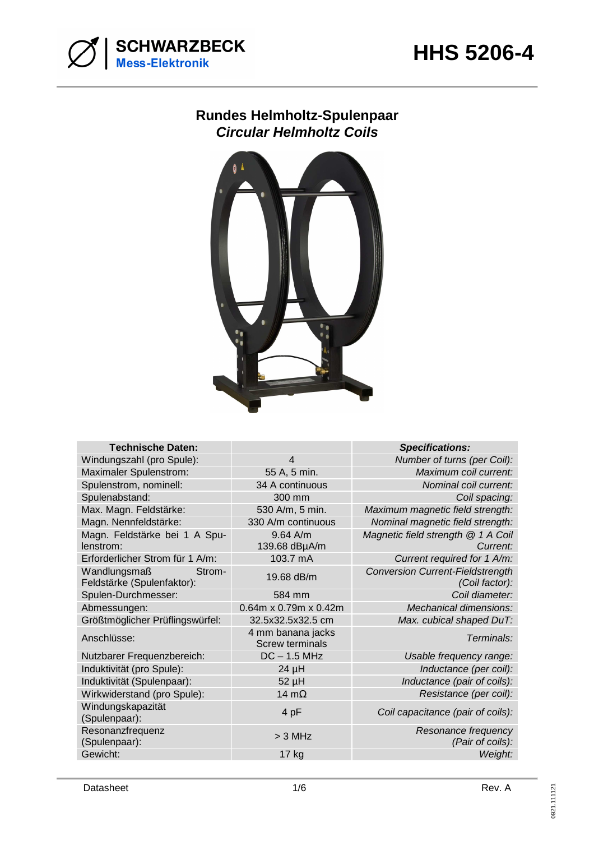

## **Rundes Helmholtz-Spulenpaar Circular Helmholtz Coils**



| <b>Technische Daten:</b>                             |                                             | <b>Specifications:</b>                                    |
|------------------------------------------------------|---------------------------------------------|-----------------------------------------------------------|
| Windungszahl (pro Spule):                            | 4                                           | Number of turns (per Coil):                               |
| Maximaler Spulenstrom:                               | 55 A, 5 min.                                | Maximum coil current:                                     |
| Spulenstrom, nominell:                               | 34 A continuous                             | Nominal coil current:                                     |
| Spulenabstand:                                       | 300 mm                                      | Coil spacing:                                             |
| Max. Magn. Feldstärke:                               | 530 A/m, 5 min.                             | Maximum magnetic field strength:                          |
| Magn. Nennfeldstärke:                                | 330 A/m continuous                          | Nominal magnetic field strength:                          |
| Magn. Feldstärke bei 1 A Spu-<br>lenstrom:           | 9.64 A/m<br>139.68 dBµA/m                   | Magnetic field strength @ 1 A Coil<br>Current:            |
| Erforderlicher Strom für 1 A/m:                      | 103.7 mA                                    | Current required for 1 A/m:                               |
| Wandlungsmaß<br>Strom-<br>Feldstärke (Spulenfaktor): | 19.68 dB/m                                  | <b>Conversion Current-Fieldstrength</b><br>(Coil factor): |
| Spulen-Durchmesser:                                  | 584 mm                                      | Coil diameter:                                            |
| Abmessungen:                                         | 0.64m x 0.79m x 0.42m                       | Mechanical dimensions:                                    |
| Größtmöglicher Prüflingswürfel:                      | 32.5x32.5x32.5 cm                           | Max. cubical shaped DuT:                                  |
| Anschlüsse:                                          | 4 mm banana jacks<br><b>Screw terminals</b> | Terminals:                                                |
| Nutzbarer Frequenzbereich:                           | $DC - 1.5 MHz$                              | Usable frequency range:                                   |
| Induktivität (pro Spule):                            | $24 \mu H$                                  | Inductance (per coil):                                    |
| Induktivität (Spulenpaar):                           | 52 µH                                       | Inductance (pair of coils):                               |
| Wirkwiderstand (pro Spule):                          | 14 $m\Omega$                                | Resistance (per coil):                                    |
| Windungskapazität<br>(Spulenpaar):                   | 4 pF                                        | Coil capacitance (pair of coils):                         |
| Resonanzfrequenz<br>(Spulenpaar):                    | $>$ 3 MHz                                   | Resonance frequency<br>(Pair of coils):                   |
| Gewicht:                                             | 17 kg                                       | Weight:                                                   |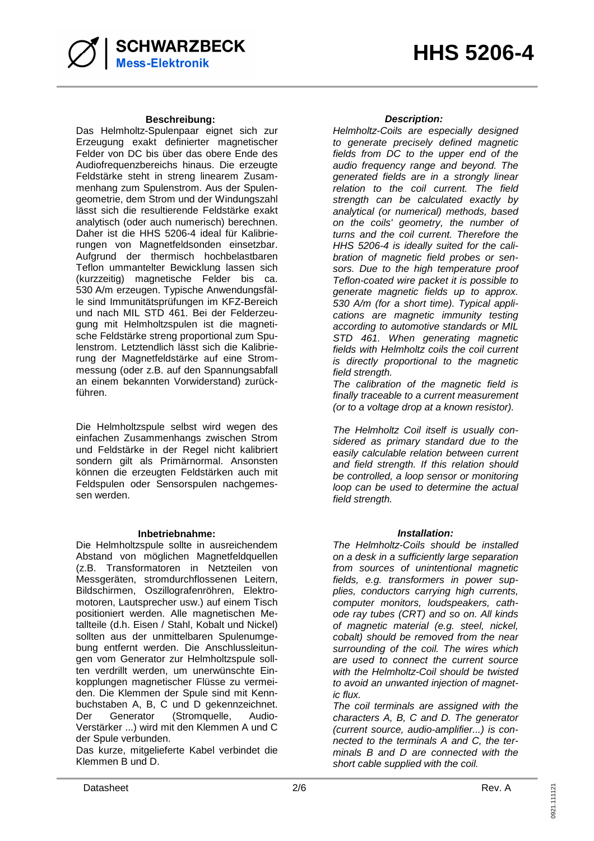#### **Beschreibung: Description:**

**SCHWARZBECK**<br>Mess-Elektronik

Das Helmholtz-Spulenpaar eignet sich zur Erzeugung exakt definierter magnetischer Felder von DC bis über das obere Ende des Audiofrequenzbereichs hinaus. Die erzeugte Feldstärke steht in streng linearem Zusammenhang zum Spulenstrom. Aus der Spulengeometrie, dem Strom und der Windungszahl lässt sich die resultierende Feldstärke exakt analytisch (oder auch numerisch) berechnen. Daher ist die HHS 5206-4 ideal für Kalibrierungen von Magnetfeldsonden einsetzbar. Aufgrund der thermisch hochbelastbaren Teflon ummantelter Bewicklung lassen sich (kurzzeitig) magnetische Felder bis ca. 530 A/m erzeugen. Typische Anwendungsfälle sind Immunitätsprüfungen im KFZ-Bereich und nach MIL STD 461. Bei der Felderzeugung mit Helmholtzspulen ist die magnetische Feldstärke streng proportional zum Spulenstrom. Letztendlich lässt sich die Kalibrierung der Magnetfeldstärke auf eine Strommessung (oder z.B. auf den Spannungsabfall an einem bekannten Vorwiderstand) zurückführen.

Die Helmholtzspule selbst wird wegen des einfachen Zusammenhangs zwischen Strom und Feldstärke in der Regel nicht kalibriert sondern gilt als Primärnormal. Ansonsten können die erzeugten Feldstärken auch mit Feldspulen oder Sensorspulen nachgemessen werden.

#### **Inbetriebnahme: Installation:**

Die Helmholtzspule sollte in ausreichendem Abstand von möglichen Magnetfeldquellen (z.B. Transformatoren in Netzteilen von Messgeräten, stromdurchflossenen Leitern, Bildschirmen, Oszillografenröhren, Elektromotoren, Lautsprecher usw.) auf einem Tisch positioniert werden. Alle magnetischen Metallteile (d.h. Eisen / Stahl, Kobalt und Nickel) sollten aus der unmittelbaren Spulenumgebung entfernt werden. Die Anschlussleitungen vom Generator zur Helmholtzspule sollten verdrillt werden, um unerwünschte Einkopplungen magnetischer Flüsse zu vermeiden. Die Klemmen der Spule sind mit Kennbuchstaben A, B, C und D gekennzeichnet. Der Generator (Stromquelle, Audio-Verstärker ...) wird mit den Klemmen A und C der Spule verbunden.

Das kurze, mitgelieferte Kabel verbindet die Klemmen B und D.

Helmholtz-Coils are especially designed to generate precisely defined magnetic fields from DC to the upper end of the audio frequency range and beyond. The generated fields are in a strongly linear relation to the coil current. The field strength can be calculated exactly by analytical (or numerical) methods, based on the coils' geometry, the number of turns and the coil current. Therefore the HHS 5206-4 is ideally suited for the calibration of magnetic field probes or sensors. Due to the high temperature proof Teflon-coated wire packet it is possible to generate magnetic fields up to approx. 530 A/m (for a short time). Typical applications are magnetic immunity testing according to automotive standards or MIL STD 461. When generating magnetic fields with Helmholtz coils the coil current is directly proportional to the magnetic field strength.

The calibration of the magnetic field is finally traceable to a current measurement (or to a voltage drop at a known resistor).

The Helmholtz Coil itself is usually considered as primary standard due to the easily calculable relation between current and field strength. If this relation should be controlled, a loop sensor or monitoring loop can be used to determine the actual field strenath.

The Helmholtz-Coils should be installed on a desk in a sufficiently large separation from sources of unintentional magnetic fields, e.g. transformers in power supplies, conductors carrying high currents, computer monitors, loudspeakers, cathode ray tubes (CRT) and so on. All kinds of magnetic material (e.g. steel, nickel, cobalt) should be removed from the near surrounding of the coil. The wires which are used to connect the current source with the Helmholtz-Coil should be twisted to avoid an unwanted injection of magnetic flux.

The coil terminals are assigned with the characters A, B, C and D. The generator (current source, audio-amplifier...) is connected to the terminals A and C, the terminals B and D are connected with the short cable supplied with the coil.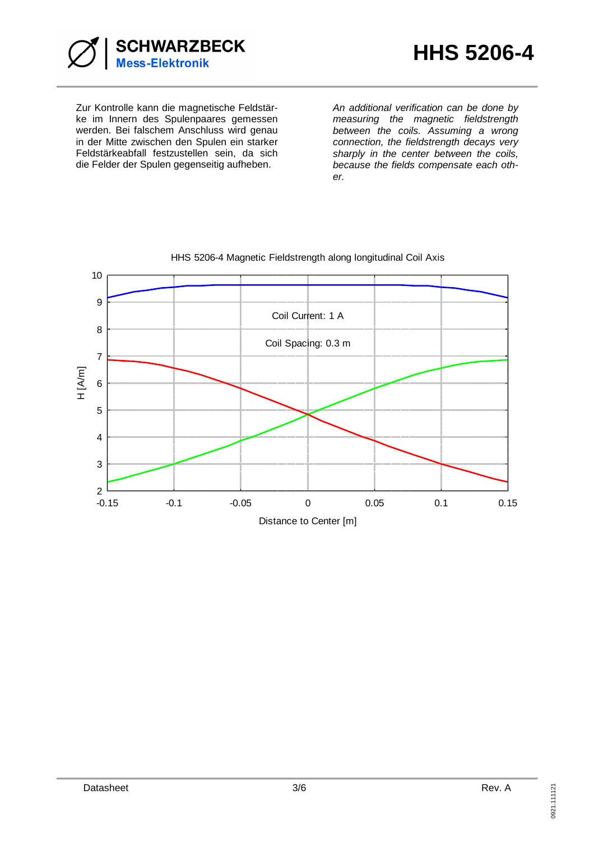

Zur Kontrolle kann die magnetische Feldstärke im Innern des Spulenpaares gemessen werden. Bei falschem Anschluss wird genau in der Mitte zwischen den Spulen ein starker Feldstärkeabfall festzustellen sein, da sich die Felder der Spulen gegenseitig aufheben.

An additional verification can be done by measuring the magnetic fieldstrength between the coils. Assuming a wrong connection, the fieldstrength decays very sharply in the center between the coils, because the fields compensate each other.



## HHS 5206-4 Magnetic Fieldstrength along longitudinal Coil Axis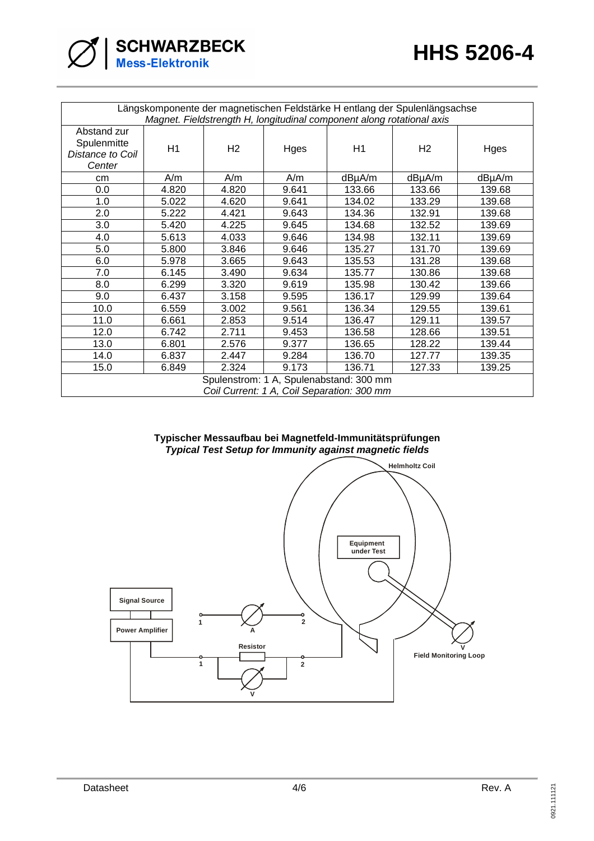| $\bigotimes$ SCHWARZBECK |  |  |
|--------------------------|--|--|
|                          |  |  |

| Längskomponente der magnetischen Feldstärke H entlang der Spulenlängsachse |       |                |       |        |                |        |
|----------------------------------------------------------------------------|-------|----------------|-------|--------|----------------|--------|
| Magnet. Fieldstrength H, longitudinal component along rotational axis      |       |                |       |        |                |        |
| Abstand zur<br>Spulenmitte<br>Distance to Coil                             | H1    | H <sub>2</sub> | Hges  | H1     | H <sub>2</sub> | Hges   |
| Center                                                                     |       |                |       |        |                |        |
| cm                                                                         | A/m   | A/m            | A/m   | dBµA/m | dBµA/m         | dBµA/m |
| 0.0                                                                        | 4.820 | 4.820          | 9.641 | 133.66 | 133.66         | 139.68 |
| 1.0                                                                        | 5.022 | 4.620          | 9.641 | 134.02 | 133.29         | 139.68 |
| 2.0                                                                        | 5.222 | 4.421          | 9.643 | 134.36 | 132.91         | 139.68 |
| 3.0                                                                        | 5.420 | 4.225          | 9.645 | 134.68 | 132.52         | 139.69 |
| 4.0                                                                        | 5.613 | 4.033          | 9.646 | 134.98 | 132.11         | 139.69 |
| 5.0                                                                        | 5.800 | 3.846          | 9.646 | 135.27 | 131.70         | 139.69 |
| 6.0                                                                        | 5.978 | 3.665          | 9.643 | 135.53 | 131.28         | 139.68 |
| 7.0                                                                        | 6.145 | 3.490          | 9.634 | 135.77 | 130.86         | 139.68 |
| 8.0                                                                        | 6.299 | 3.320          | 9.619 | 135.98 | 130.42         | 139.66 |
| 9.0                                                                        | 6.437 | 3.158          | 9.595 | 136.17 | 129.99         | 139.64 |
| 10.0                                                                       | 6.559 | 3.002          | 9.561 | 136.34 | 129.55         | 139.61 |
| 11.0                                                                       | 6.661 | 2.853          | 9.514 | 136.47 | 129.11         | 139.57 |
| 12.0                                                                       | 6.742 | 2.711          | 9.453 | 136.58 | 128.66         | 139.51 |
| 13.0                                                                       | 6.801 | 2.576          | 9.377 | 136.65 | 128.22         | 139.44 |
| 14.0                                                                       | 6.837 | 2.447          | 9.284 | 136.70 | 127.77         | 139.35 |
| 15.0                                                                       | 6.849 | 2.324          | 9.173 | 136.71 | 127.33         | 139.25 |
| Spulenstrom: 1 A, Spulenabstand: 300 mm                                    |       |                |       |        |                |        |
| Coil Current: 1 A, Coil Separation: 300 mm                                 |       |                |       |        |                |        |

## **Typischer Messaufbau bei Magnetfeld-Immunitätsprüfungen Typical Test Setup for Immunity against magnetic fields**

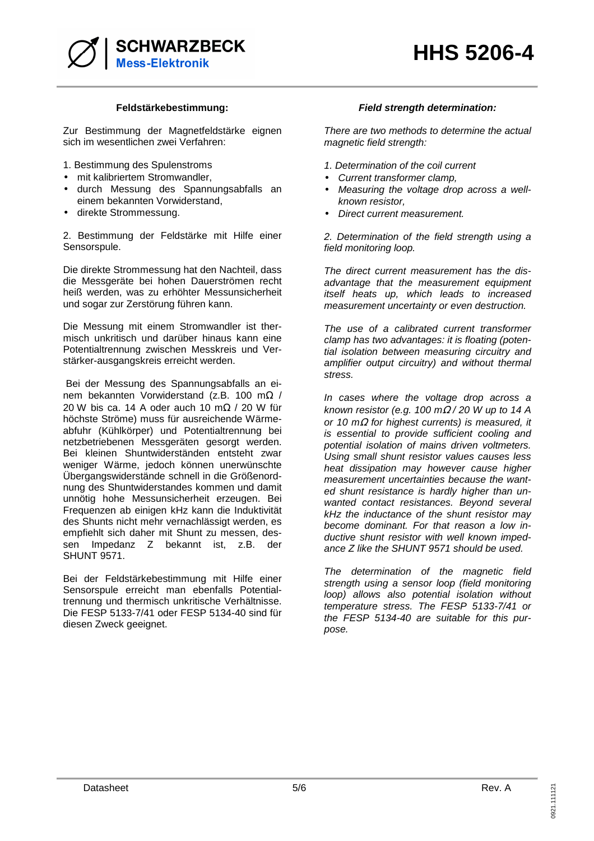

Zur Bestimmung der Magnetfeldstärke eignen sich im wesentlichen zwei Verfahren:

- 1. Bestimmung des Spulenstroms
- mit kalibriertem Stromwandler,
- durch Messung des Spannungsabfalls an einem bekannten Vorwiderstand,
- direkte Strommessung.

2. Bestimmung der Feldstärke mit Hilfe einer Sensorspule.

Die direkte Strommessung hat den Nachteil, dass die Messgeräte bei hohen Dauerströmen recht heiß werden, was zu erhöhter Messunsicherheit und sogar zur Zerstörung führen kann.

Die Messung mit einem Stromwandler ist thermisch unkritisch und darüber hinaus kann eine Potentialtrennung zwischen Messkreis und Verstärker-ausgangskreis erreicht werden.

 Bei der Messung des Spannungsabfalls an einem bekannten Vorwiderstand (z.B. 100 mΩ / 20 W bis ca. 14 A oder auch 10 m $\Omega$  / 20 W für höchste Ströme) muss für ausreichende Wärmeabfuhr (Kühlkörper) und Potentialtrennung bei netzbetriebenen Messgeräten gesorgt werden. Bei kleinen Shuntwiderständen entsteht zwar weniger Wärme, jedoch können unerwünschte Übergangswiderstände schnell in die Größenordnung des Shuntwiderstandes kommen und damit unnötig hohe Messunsicherheit erzeugen. Bei Frequenzen ab einigen kHz kann die Induktivität des Shunts nicht mehr vernachlässigt werden, es empfiehlt sich daher mit Shunt zu messen, dessen Impedanz Z bekannt ist, z.B. der SHUNT 9571.

Bei der Feldstärkebestimmung mit Hilfe einer Sensorspule erreicht man ebenfalls Potentialtrennung und thermisch unkritische Verhältnisse. Die FESP 5133-7/41 oder FESP 5134-40 sind für diesen Zweck geeignet.

#### **Feldstärkebestimmung: Field strength determination:**

There are two methods to determine the actual magnetic field strength:

- 1. Determination of the coil current
- Current transformer clamp,
- Measuring the voltage drop across a wellknown resistor,
- Direct current measurement.

2. Determination of the field strength using a field monitoring loop.

The direct current measurement has the disadvantage that the measurement equipment itself heats up, which leads to increased measurement uncertainty or even destruction.

The use of a calibrated current transformer clamp has two advantages: it is floating (potential isolation between measuring circuitry and amplifier output circuitry) and without thermal stress.

In cases where the voltage drop across a known resistor (e.g. 100 m $\Omega$  / 20 W up to 14 A or 10 m $\Omega$  for highest currents) is measured, it is essential to provide sufficient cooling and potential isolation of mains driven voltmeters. Using small shunt resistor values causes less heat dissipation may however cause higher measurement uncertainties because the wanted shunt resistance is hardly higher than unwanted contact resistances. Beyond several kHz the inductance of the shunt resistor may become dominant. For that reason a low inductive shunt resistor with well known impedance Z like the SHUNT 9571 should be used.

The determination of the magnetic field strength using a sensor loop (field monitoring loop) allows also potential isolation without temperature stress. The FESP 5133-7/41 or the FESP 5134-40 are suitable for this purpose.